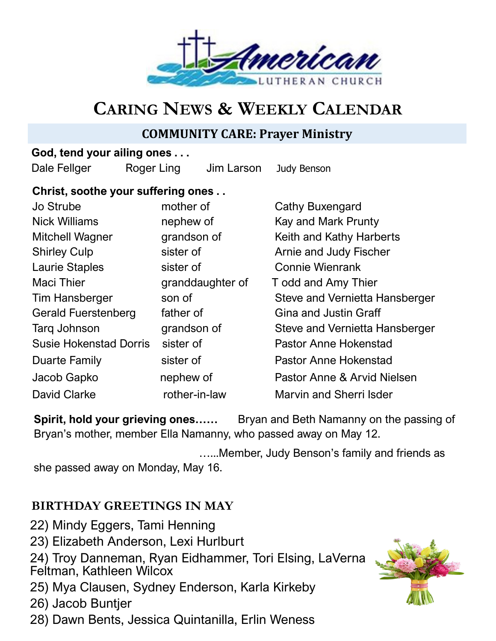

# **CARING NEWS & WEEKLY CALENDAR**

# **COMMUNITY CARE: Prayer Ministry**

### **God, tend your ailing ones . . .**

Dale Fellger Roger Ling Jim Larson Judy Benson

### **Christ, soothe your suffering ones . .**

| Jo Strube                     | mother of        | Cathy Buxengard                |
|-------------------------------|------------------|--------------------------------|
| <b>Nick Williams</b>          | nephew of        | Kay and Mark Prunty            |
| <b>Mitchell Wagner</b>        | grandson of      | Keith and Kathy Harberts       |
| <b>Shirley Culp</b>           | sister of        | Arnie and Judy Fischer         |
| <b>Laurie Staples</b>         | sister of        | <b>Connie Wienrank</b>         |
| <b>Maci Thier</b>             | granddaughter of | T odd and Amy Thier            |
| <b>Tim Hansberger</b>         | son of           | Steve and Vernietta Hansberger |
| <b>Gerald Fuerstenberg</b>    | father of        | <b>Gina and Justin Graff</b>   |
| Tarq Johnson                  | grandson of      | Steve and Vernietta Hansberger |
| <b>Susie Hokenstad Dorris</b> | sister of        | <b>Pastor Anne Hokenstad</b>   |
| <b>Duarte Family</b>          | sister of        | <b>Pastor Anne Hokenstad</b>   |
| Jacob Gapko                   | nephew of        | Pastor Anne & Arvid Nielsen    |
| <b>David Clarke</b>           | rother-in-law    | <b>Marvin and Sherri Isder</b> |

**Spirit, hold your grieving ones……** Bryan and Beth Namanny on the passing of Bryan's mother, member Ella Namanny, who passed away on May 12.

…...Member, Judy Benson's family and friends as

she passed away on Monday, May 16.

# **BIRTHDAY GREETINGS IN MAY**

- 22) Mindy Eggers, Tami Henning
- 23) Elizabeth Anderson, Lexi Hurlburt

24) Troy Danneman, Ryan Eidhammer, Tori Elsing, LaVerna Feltman, Kathleen Wilcox

25) Mya Clausen, Sydney Enderson, Karla Kirkeby

26) Jacob Buntjer

28) Dawn Bents, Jessica Quintanilla, Erlin Weness